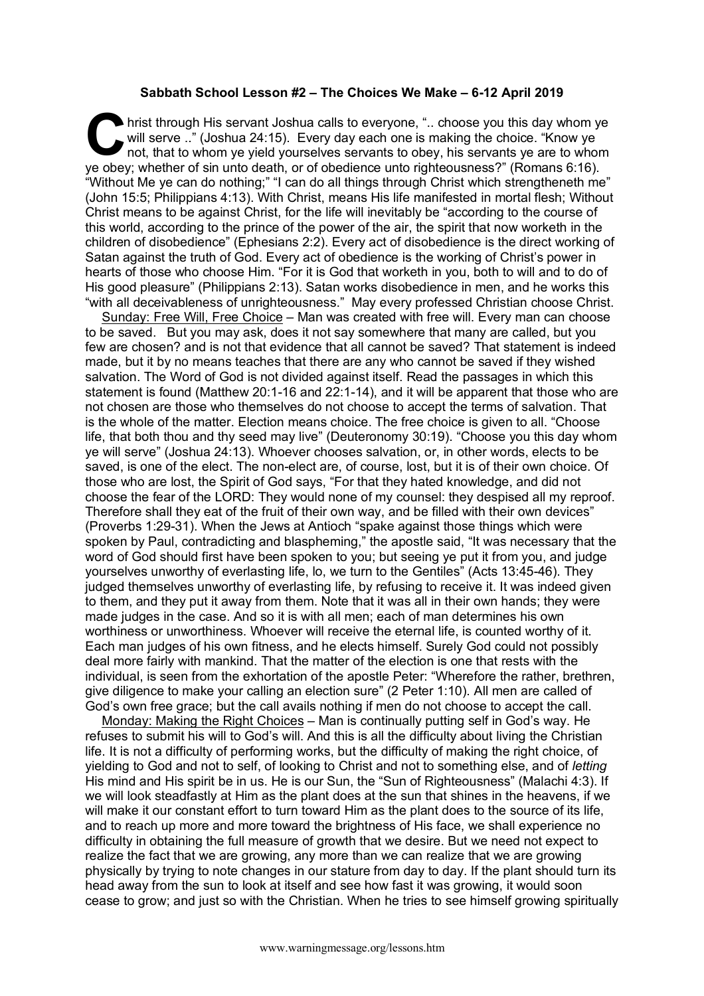## **Sabbath School Lesson #2 – The Choices We Make – 6-12 April 2019**

hrist through His servant Joshua calls to everyone, ".. choose you this day whom ye will serve .." (Joshua 24:15). Every day each one is making the choice. "Know ye not, that to whom ye yield yourselves servants to obey, h will serve ..." (Joshua 24:15). Every day each one is making the choice. "Know ye not, that to whom ye yield yourselves servants to obey, his servants ye are to whom ye obey; whether of sin unto death, or of obedience unto righteousness?" (Romans 6:16). "Without Me ye can do nothing;" "I can do all things through Christ which strengtheneth me" (John 15:5; Philippians 4:13). With Christ, means His life manifested in mortal flesh; Without Christ means to be against Christ, for the life will inevitably be "according to the course of this world, according to the prince of the power of the air, the spirit that now worketh in the children of disobedience" (Ephesians 2:2). Every act of disobedience is the direct working of Satan against the truth of God. Every act of obedience is the working of Christ's power in hearts of those who choose Him. "For it is God that worketh in you, both to will and to do of His good pleasure" (Philippians 2:13). Satan works disobedience in men, and he works this "with all deceivableness of unrighteousness." May every professed Christian choose Christ.

Sunday: Free Will, Free Choice – Man was created with free will. Every man can choose to be saved. But you may ask, does it not say somewhere that many are called, but you few are chosen? and is not that evidence that all cannot be saved? That statement is indeed made, but it by no means teaches that there are any who cannot be saved if they wished salvation. The Word of God is not divided against itself. Read the passages in which this statement is found (Matthew 20:1-16 and 22:1-14), and it will be apparent that those who are not chosen are those who themselves do not choose to accept the terms of salvation. That is the whole of the matter. Election means choice. The free choice is given to all. "Choose life, that both thou and thy seed may live" (Deuteronomy 30:19). "Choose you this day whom ye will serve" (Joshua 24:13). Whoever chooses salvation, or, in other words, elects to be saved, is one of the elect. The non-elect are, of course, lost, but it is of their own choice. Of those who are lost, the Spirit of God says, "For that they hated knowledge, and did not choose the fear of the LORD: They would none of my counsel: they despised all my reproof. Therefore shall they eat of the fruit of their own way, and be filled with their own devices" (Proverbs 1:29-31). When the Jews at Antioch "spake against those things which were spoken by Paul, contradicting and blaspheming," the apostle said, "It was necessary that the word of God should first have been spoken to you; but seeing ye put it from you, and judge yourselves unworthy of everlasting life, lo, we turn to the Gentiles" (Acts 13:45-46). They judged themselves unworthy of everlasting life, by refusing to receive it. It was indeed given to them, and they put it away from them. Note that it was all in their own hands; they were made judges in the case. And so it is with all men; each of man determines his own worthiness or unworthiness. Whoever will receive the eternal life, is counted worthy of it. Each man judges of his own fitness, and he elects himself. Surely God could not possibly deal more fairly with mankind. That the matter of the election is one that rests with the individual, is seen from the exhortation of the apostle Peter: "Wherefore the rather, brethren, give diligence to make your calling an election sure" (2 Peter 1:10). All men are called of God's own free grace; but the call avails nothing if men do not choose to accept the call.

Monday: Making the Right Choices – Man is continually putting self in God's way. He refuses to submit his will to God's will. And this is all the difficulty about living the Christian life. It is not a difficulty of performing works, but the difficulty of making the right choice, of yielding to God and not to self, of looking to Christ and not to something else, and of *letting*  His mind and His spirit be in us. He is our Sun, the "Sun of Righteousness" (Malachi 4:3). If we will look steadfastly at Him as the plant does at the sun that shines in the heavens, if we will make it our constant effort to turn toward Him as the plant does to the source of its life, and to reach up more and more toward the brightness of His face, we shall experience no difficulty in obtaining the full measure of growth that we desire. But we need not expect to realize the fact that we are growing, any more than we can realize that we are growing physically by trying to note changes in our stature from day to day. If the plant should turn its head away from the sun to look at itself and see how fast it was growing, it would soon cease to grow; and just so with the Christian. When he tries to see himself growing spiritually